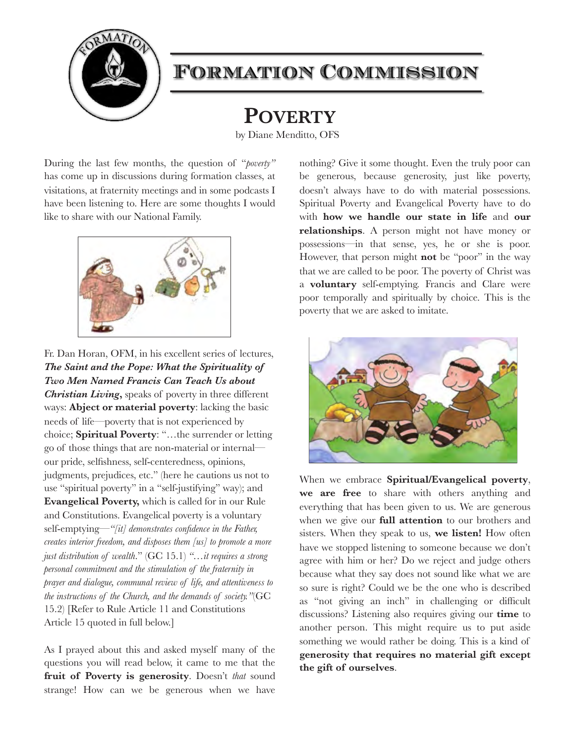

# Formation Commission

**POVERTY**

by Diane Menditto, OFS

During the last few months, the question of "*poverty"*  has come up in discussions during formation classes, at visitations, at fraternity meetings and in some podcasts I have been listening to. Here are some thoughts I would like to share with our National Family.



Fr. Dan Horan, OFM, in his excellent series of lectures, *The Saint and the Pope: What the Spirituality of Two Men Named Francis Can Teach Us about Christian Living***,** speaks of poverty in three different ways: **Abject or material poverty**: lacking the basic needs of life—poverty that is not experienced by choice; **Spiritual Poverty**: "…the surrender or letting go of those things that are non-material or internal–– our pride, selfishness, self-centeredness, opinions, judgments, prejudices, etc." (here he cautions us not to use "spiritual poverty" in a "self-justifying" way); and **Evangelical Poverty,** which is called for in our Rule and Constitutions. Evangelical poverty is a voluntary self-emptying*—"[it] demonstrates confidence in the Father, creates interior freedom, and disposes them [us] to promote a more just distribution of wealth*." (GC 15.1) *"…it requires a strong personal commitment and the stimulation of the fraternity in prayer and dialogue, communal review of life, and attentiveness to the instructions of the Church, and the demands of society."*(GC 15.2) [Refer to Rule Article 11 and Constitutions Article 15 quoted in full below.]

As I prayed about this and asked myself many of the questions you will read below, it came to me that the **fruit of Poverty is generosity**. Doesn't *that* sound strange! How can we be generous when we have nothing? Give it some thought. Even the truly poor can be generous, because generosity, just like poverty, doesn't always have to do with material possessions. Spiritual Poverty and Evangelical Poverty have to do with **how we handle our state in life** and **our relationships**. A person might not have money or possessions—in that sense, yes, he or she is poor. However, that person might **not** be "poor" in the way that we are called to be poor. The poverty of Christ was a **voluntary** self-emptying. Francis and Clare were poor temporally and spiritually by choice. This is the poverty that we are asked to imitate.



When we embrace **Spiritual/Evangelical poverty**, **we are free** to share with others anything and everything that has been given to us. We are generous when we give our **full attention** to our brothers and sisters. When they speak to us, **we listen!** How often have we stopped listening to someone because we don't agree with him or her? Do we reject and judge others because what they say does not sound like what we are so sure is right? Could we be the one who is described as "not giving an inch" in challenging or difficult discussions? Listening also requires giving our **time** to another person. This might require us to put aside something we would rather be doing. This is a kind of **generosity that requires no material gift except the gift of ourselves**.